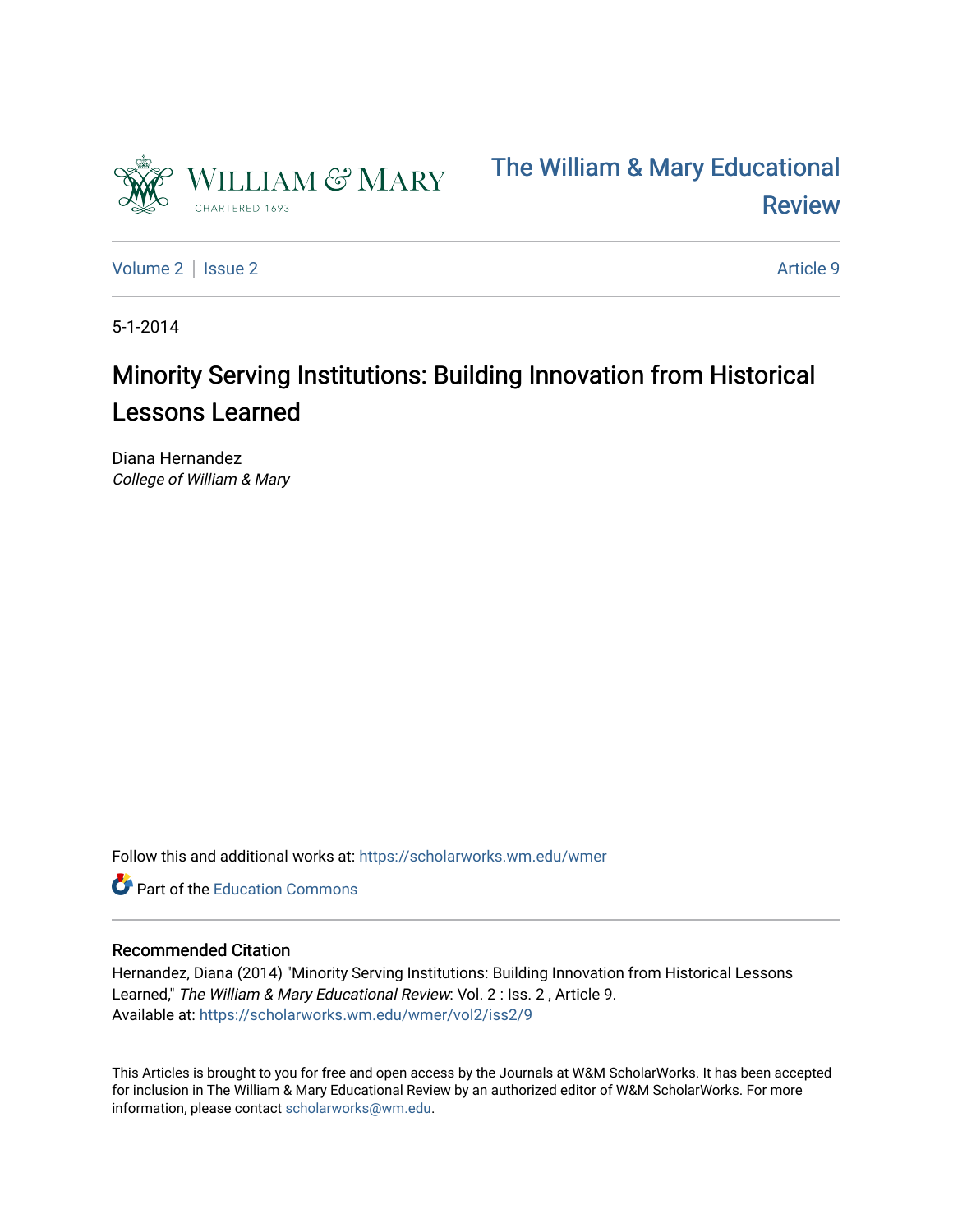



[Volume 2](https://scholarworks.wm.edu/wmer/vol2) | [Issue 2](https://scholarworks.wm.edu/wmer/vol2/iss2) Article 9

5-1-2014

# Minority Serving Institutions: Building Innovation from Historical Lessons Learned

Diana Hernandez College of William & Mary

Follow this and additional works at: [https://scholarworks.wm.edu/wmer](https://scholarworks.wm.edu/wmer?utm_source=scholarworks.wm.edu%2Fwmer%2Fvol2%2Fiss2%2F9&utm_medium=PDF&utm_campaign=PDFCoverPages)

Part of the [Education Commons](http://network.bepress.com/hgg/discipline/784?utm_source=scholarworks.wm.edu%2Fwmer%2Fvol2%2Fiss2%2F9&utm_medium=PDF&utm_campaign=PDFCoverPages)

### Recommended Citation

Hernandez, Diana (2014) "Minority Serving Institutions: Building Innovation from Historical Lessons Learned," The William & Mary Educational Review: Vol. 2 : Iss. 2, Article 9. Available at: [https://scholarworks.wm.edu/wmer/vol2/iss2/9](https://scholarworks.wm.edu/wmer/vol2/iss2/9?utm_source=scholarworks.wm.edu%2Fwmer%2Fvol2%2Fiss2%2F9&utm_medium=PDF&utm_campaign=PDFCoverPages)

This Articles is brought to you for free and open access by the Journals at W&M ScholarWorks. It has been accepted for inclusion in The William & Mary Educational Review by an authorized editor of W&M ScholarWorks. For more information, please contact [scholarworks@wm.edu](mailto:scholarworks@wm.edu).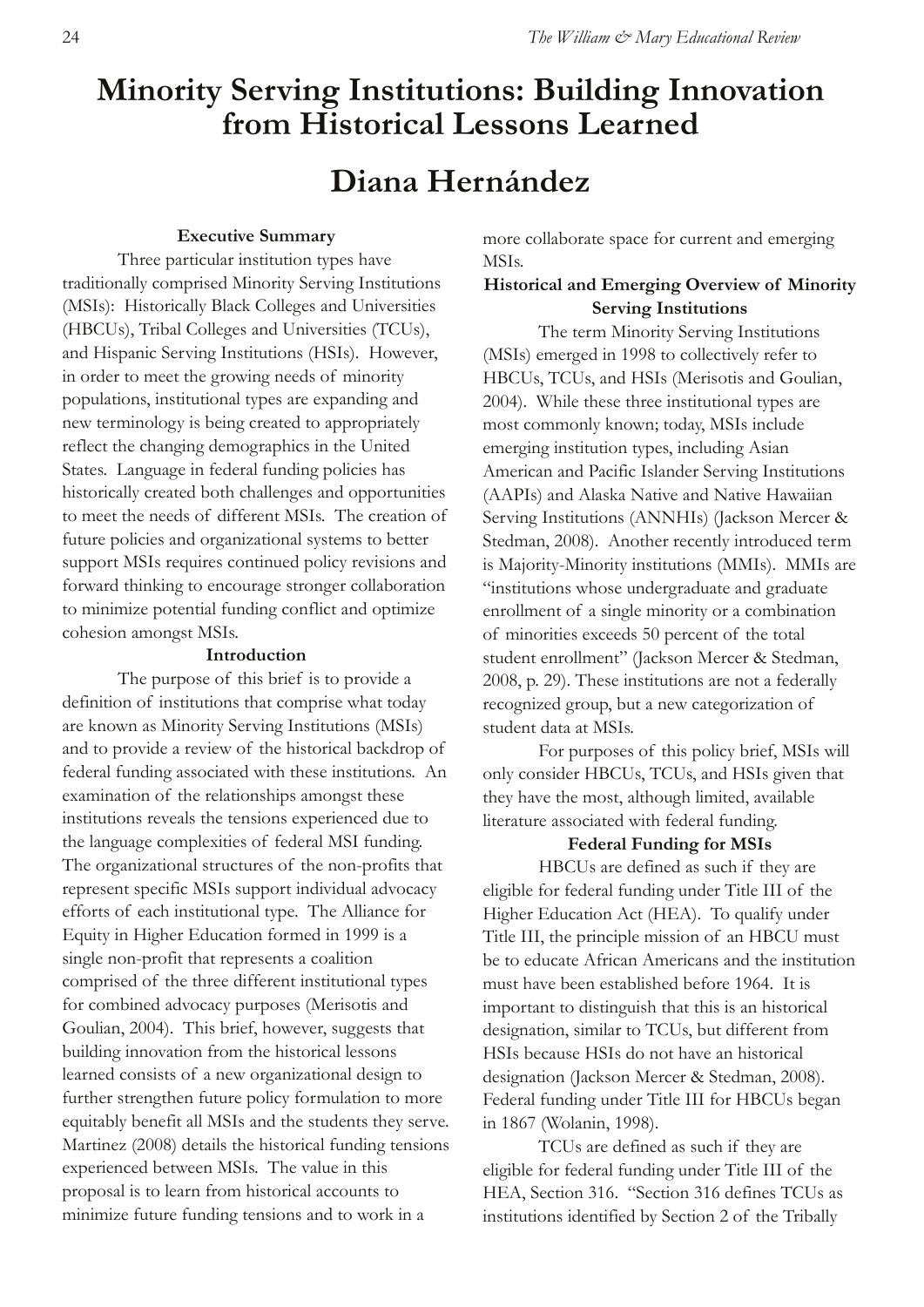# **Minority Serving Institutions: Building Innovation from Historical Lessons Learned**

# **Diana Hernández**

#### **Executive Summary**

Three particular institution types have traditionally comprised Minority Serving Institutions (MSIs): Historically Black Colleges and Universities (HBCUs), Tribal Colleges and Universities (TCUs), and Hispanic Serving Institutions (HSIs). However, in order to meet the growing needs of minority populations, institutional types are expanding and new terminology is being created to appropriately reflect the changing demographics in the United States. Language in federal funding policies has historically created both challenges and opportunities to meet the needs of different MSIs. The creation of future policies and organizational systems to better support MSIs requires continued policy revisions and forward thinking to encourage stronger collaboration to minimize potential funding conflict and optimize cohesion amongst MSIs.

#### **Introduction**

The purpose of this brief is to provide a definition of institutions that comprise what today are known as Minority Serving Institutions (MSIs) and to provide a review of the historical backdrop of federal funding associated with these institutions. An examination of the relationships amongst these institutions reveals the tensions experienced due to the language complexities of federal MSI funding. The organizational structures of the non-profits that represent specific MSIs support individual advocacy efforts of each institutional type. The Alliance for Equity in Higher Education formed in 1999 is a single non-profit that represents a coalition comprised of the three different institutional types for combined advocacy purposes (Merisotis and Goulian, 2004). This brief, however, suggests that building innovation from the historical lessons learned consists of a new organizational design to further strengthen future policy formulation to more equitably benefit all MSIs and the students they serve. Martinez (2008) details the historical funding tensions experienced between MSIs. The value in this proposal is to learn from historical accounts to minimize future funding tensions and to work in a

more collaborate space for current and emerging MSIs.

# **Historical and Emerging Overview of Minority Serving Institutions**

The term Minority Serving Institutions (MSIs) emerged in 1998 to collectively refer to HBCUs, TCUs, and HSIs (Merisotis and Goulian, 2004). While these three institutional types are most commonly known; today, MSIs include emerging institution types, including Asian American and Pacific Islander Serving Institutions (AAPIs) and Alaska Native and Native Hawaiian Serving Institutions (ANNHIs) (Jackson Mercer & Stedman, 2008). Another recently introduced term is Majority-Minority institutions (MMIs). MMIs are "institutions whose undergraduate and graduate enrollment of a single minority or a combination of minorities exceeds 50 percent of the total student enrollment" (Jackson Mercer & Stedman, 2008, p. 29). These institutions are not a federally recognized group, but a new categorization of student data at MSIs.

For purposes of this policy brief, MSIs will only consider HBCUs, TCUs, and HSIs given that they have the most, although limited, available literature associated with federal funding.

#### **Federal Funding for MSIs**

HBCUs are defined as such if they are eligible for federal funding under Title III of the Higher Education Act (HEA). To qualify under Title III, the principle mission of an HBCU must be to educate African Americans and the institution must have been established before 1964. It is important to distinguish that this is an historical designation, similar to TCUs, but different from HSIs because HSIs do not have an historical designation (Jackson Mercer & Stedman, 2008). Federal funding under Title III for HBCUs began in 1867 (Wolanin, 1998).

TCUs are defined as such if they are eligible for federal funding under Title III of the HEA, Section 316. "Section 316 defines TCUs as institutions identified by Section 2 of the Tribally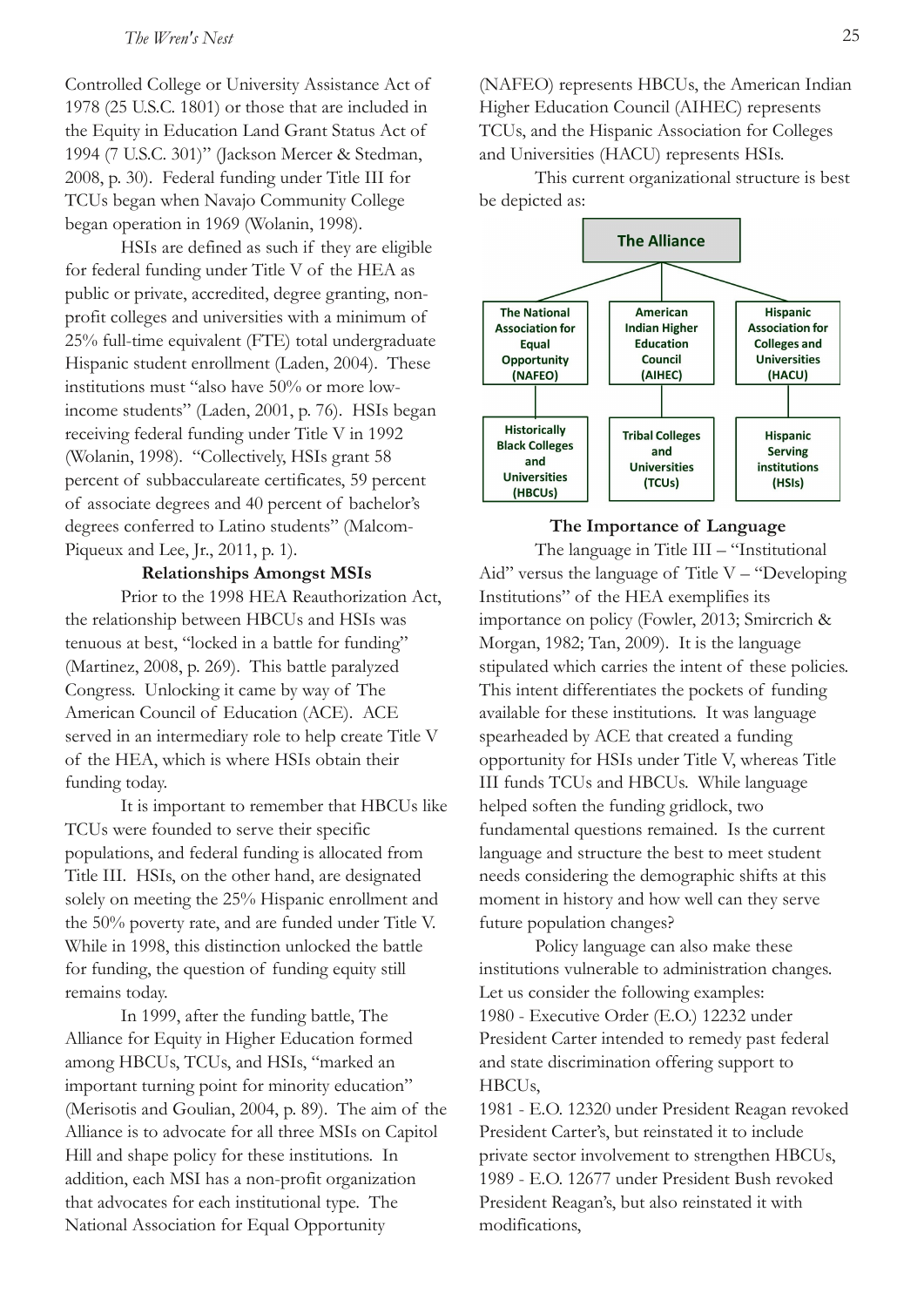Controlled College or University Assistance Act of 1978 (25 U.S.C. 1801) or those that are included in the Equity in Education Land Grant Status Act of 1994 (7 U.S.C. 301)" (Jackson Mercer & Stedman, 2008, p. 30). Federal funding under Title III for TCUs began when Navajo Community College began operation in 1969 (Wolanin, 1998).

HSIs are defined as such if they are eligible for federal funding under Title V of the HEA as public or private, accredited, degree granting, nonprofit colleges and universities with a minimum of 25% full-time equivalent (FTE) total undergraduate Hispanic student enrollment (Laden, 2004). These institutions must "also have 50% or more lowincome students" (Laden, 2001, p. 76). HSIs began receiving federal funding under Title V in 1992 (Wolanin, 1998). "Collectively, HSIs grant 58 percent of subbacculareate certificates, 59 percent of associate degrees and 40 percent of bachelor's degrees conferred to Latino students" (Malcom-Piqueux and Lee, Jr., 2011, p. 1).

## **Relationships Amongst MSIs**

Prior to the 1998 HEA Reauthorization Act, the relationship between HBCUs and HSIs was tenuous at best, "locked in a battle for funding" (Martinez, 2008, p. 269). This battle paralyzed Congress. Unlocking it came by way of The American Council of Education (ACE). ACE served in an intermediary role to help create Title V of the HEA, which is where HSIs obtain their funding today.

It is important to remember that HBCUs like TCUs were founded to serve their specific populations, and federal funding is allocated from Title III. HSIs, on the other hand, are designated solely on meeting the 25% Hispanic enrollment and the 50% poverty rate, and are funded under Title V. While in 1998, this distinction unlocked the battle for funding, the question of funding equity still remains today.

In 1999, after the funding battle, The Alliance for Equity in Higher Education formed among HBCUs, TCUs, and HSIs, "marked an important turning point for minority education" (Merisotis and Goulian, 2004, p. 89). The aim of the Alliance is to advocate for all three MSIs on Capitol Hill and shape policy for these institutions. In addition, each MSI has a non-profit organization that advocates for each institutional type. The National Association for Equal Opportunity

(NAFEO) represents HBCUs, the American Indian Higher Education Council (AIHEC) represents TCUs, and the Hispanic Association for Colleges and Universities (HACU) represents HSIs.

This current organizational structure is best be depicted as:



#### **The Importance of Language**

The language in Title III – "Institutional Aid" versus the language of Title  $V -$ "Developing Institutions" of the HEA exemplifies its importance on policy (Fowler, 2013; Smircrich & Morgan, 1982; Tan, 2009). It is the language stipulated which carries the intent of these policies. This intent differentiates the pockets of funding available for these institutions. It was language spearheaded by ACE that created a funding opportunity for HSIs under Title V, whereas Title III funds TCUs and HBCUs. While language helped soften the funding gridlock, two fundamental questions remained. Is the current language and structure the best to meet student needs considering the demographic shifts at this moment in history and how well can they serve future population changes?

Policy language can also make these institutions vulnerable to administration changes. Let us consider the following examples: 1980 - Executive Order (E.O.) 12232 under President Carter intended to remedy past federal and state discrimination offering support to HBCUs,

1981 - E.O. 12320 under President Reagan revoked President Carter's, but reinstated it to include private sector involvement to strengthen HBCUs, 1989 - E.O. 12677 under President Bush revoked President Reagan's, but also reinstated it with modifications,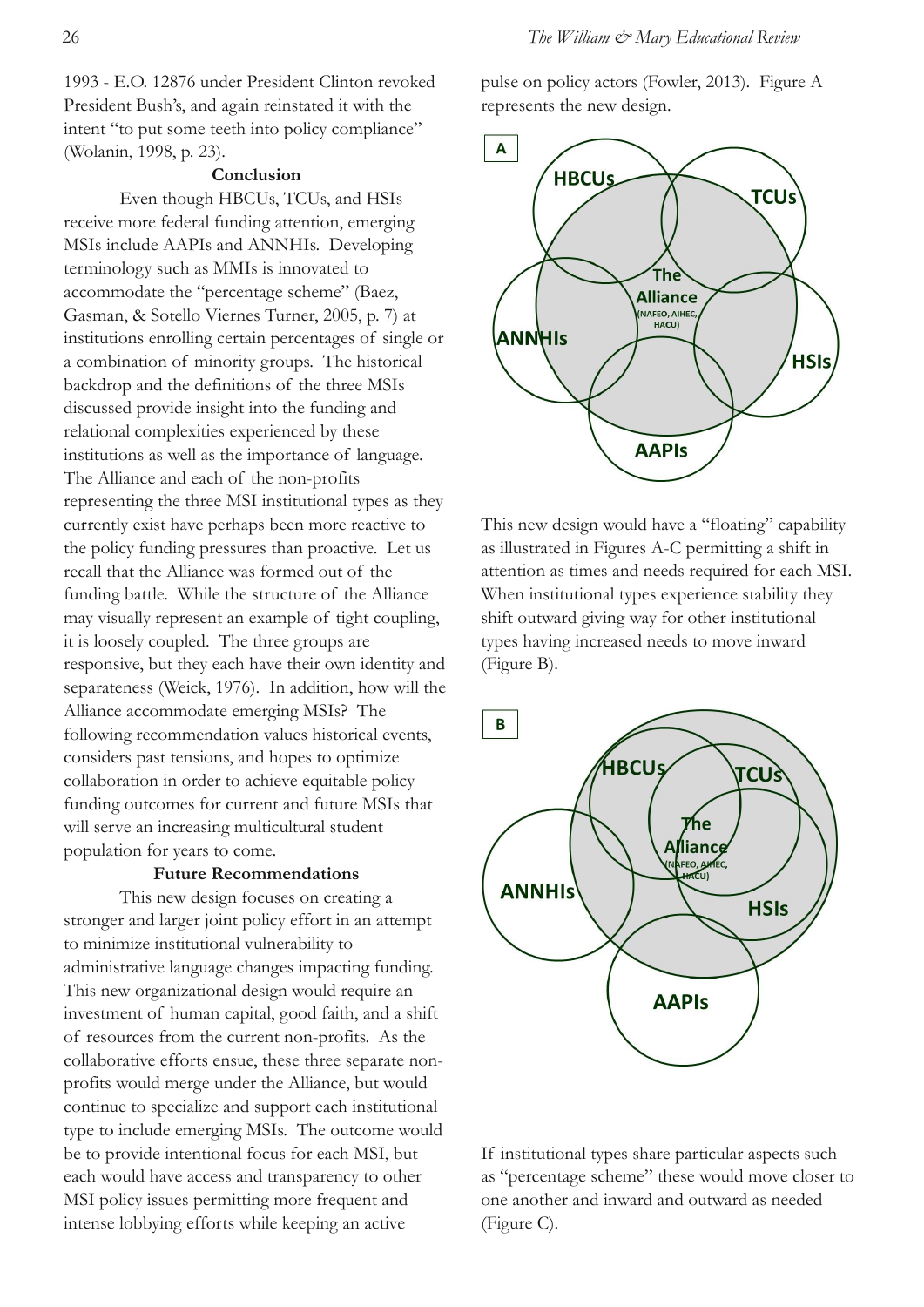1993 - E.O. 12876 under President Clinton revoked President Bush's, and again reinstated it with the intent "to put some teeth into policy compliance" (Wolanin, 1998, p. 23).

### **Conclusion**

Even though HBCUs, TCUs, and HSIs receive more federal funding attention, emerging MSIs include AAPIs and ANNHIs. Developing terminology such as MMIs is innovated to accommodate the "percentage scheme" (Baez, Gasman, & Sotello Viernes Turner, 2005, p. 7) at institutions enrolling certain percentages of single or a combination of minority groups. The historical backdrop and the definitions of the three MSIs discussed provide insight into the funding and relational complexities experienced by these institutions as well as the importance of language. The Alliance and each of the non-profits representing the three MSI institutional types as they currently exist have perhaps been more reactive to the policy funding pressures than proactive. Let us recall that the Alliance was formed out of the funding battle. While the structure of the Alliance may visually represent an example of tight coupling, it is loosely coupled. The three groups are responsive, but they each have their own identity and separateness (Weick, 1976). In addition, how will the Alliance accommodate emerging MSIs? The following recommendation values historical events, considers past tensions, and hopes to optimize collaboration in order to achieve equitable policy funding outcomes for current and future MSIs that will serve an increasing multicultural student population for years to come.

### **Future Recommendations**

This new design focuses on creating a stronger and larger joint policy effort in an attempt to minimize institutional vulnerability to administrative language changes impacting funding. This new organizational design would require an investment of human capital, good faith, and a shift of resources from the current non-profits. As the collaborative efforts ensue, these three separate nonprofits would merge under the Alliance, but would continue to specialize and support each institutional type to include emerging MSIs. The outcome would be to provide intentional focus for each MSI, but each would have access and transparency to other MSI policy issues permitting more frequent and intense lobbying efforts while keeping an active

pulse on policy actors (Fowler, 2013). Figure A represents the new design.



This new design would have a "floating" capability as illustrated in Figures A-C permitting a shift in attention as times and needs required for each MSI. When institutional types experience stability they shift outward giving way for other institutional types having increased needs to move inward (Figure B).



If institutional types share particular aspects such as "percentage scheme" these would move closer to one another and inward and outward as needed (Figure C).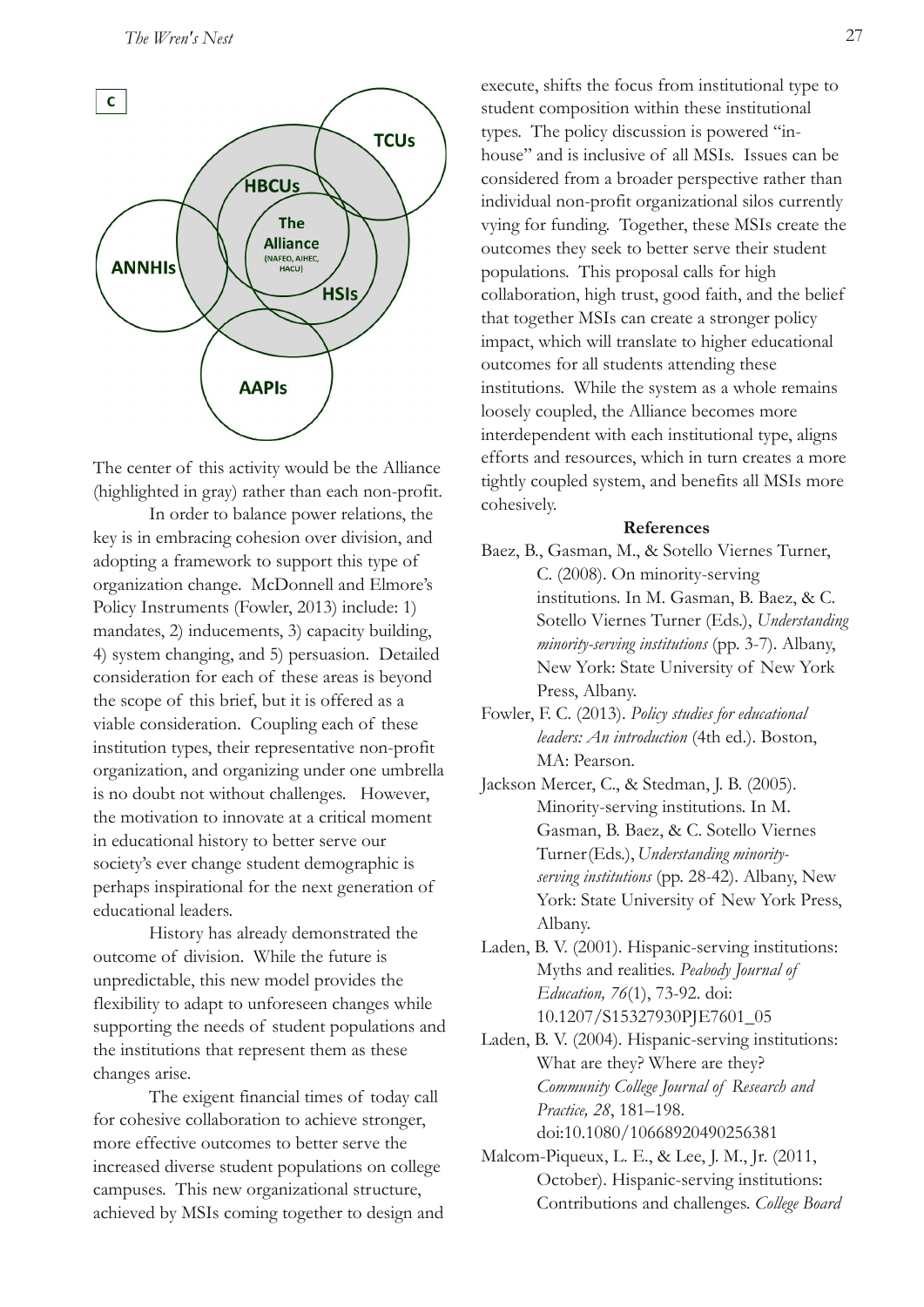

The center of this activity would be the Alliance (highlighted in gray) rather than each non-profit.

In order to balance power relations, the key is in embracing cohesion over division, and adopting a framework to support this type of organization change. McDonnell and Elmore's Policy Instruments (Fowler, 2013) include: 1) mandates, 2) inducements, 3) capacity building, 4) system changing, and 5) persuasion. Detailed consideration for each of these areas is beyond the scope of this brief, but it is offered as a viable consideration. Coupling each of these institution types, their representative non-profit organization, and organizing under one umbrella is no doubt not without challenges. However, the motivation to innovate at a critical moment in educational history to better serve our society's ever change student demographic is perhaps inspirational for the next generation of educational leaders.

History has already demonstrated the outcome of division. While the future is unpredictable, this new model provides the flexibility to adapt to unforeseen changes while supporting the needs of student populations and the institutions that represent them as these changes arise.

The exigent financial times of today call for cohesive collaboration to achieve stronger, more effective outcomes to better serve the increased diverse student populations on college campuses. This new organizational structure, achieved by MSIs coming together to design and execute, shifts the focus from institutional type to student composition within these institutional types. The policy discussion is powered "inhouse" and is inclusive of all MSIs. Issues can be considered from a broader perspective rather than individual non-profit organizational silos currently vying for funding. Together, these MSIs create the outcomes they seek to better serve their student populations. This proposal calls for high collaboration, high trust, good faith, and the belief that together MSIs can create a stronger policy impact, which will translate to higher educational outcomes for all students attending these institutions. While the system as a whole remains loosely coupled, the Alliance becomes more interdependent with each institutional type, aligns efforts and resources, which in turn creates a more tightly coupled system, and benefits all MSIs more cohesively.

#### **References**

- Baez, B., Gasman, M., & Sotello Viernes Turner, C. (2008). On minority-serving institutions. In M. Gasman, B. Baez, & C. Sotello Viernes Turner (Eds.), *Understanding minority-serving institutions* (pp. 3-7). Albany, New York: State University of New York Press, Albany.
- Fowler, F. C. (2013). *Policy studies for educational leaders: An introduction* (4th ed.). Boston, MA: Pearson.
- Jackson Mercer, C., & Stedman, J. B. (2005). Minority-serving institutions. In M. Gasman, B. Baez, & C. Sotello Viernes Turner(Eds.), *Understanding minorityserving institutions* (pp. 28-42). Albany, New York: State University of New York Press, Albany.
- Laden, B. V. (2001). Hispanic-serving institutions: Myths and realities. *Peabody Journal of Education, 76*(1), 73-92. doi: 10.1207/S15327930PJE7601\_05
- Laden, B. V. (2004). Hispanic-serving institutions: What are they? Where are they? *Community College Journal of Research and Practice, 28*, 181–198. doi:10.1080/10668920490256381
- Malcom-Piqueux, L. E., & Lee, J. M., Jr. (2011, October). Hispanic-serving institutions: Contributions and challenges. *College Board*